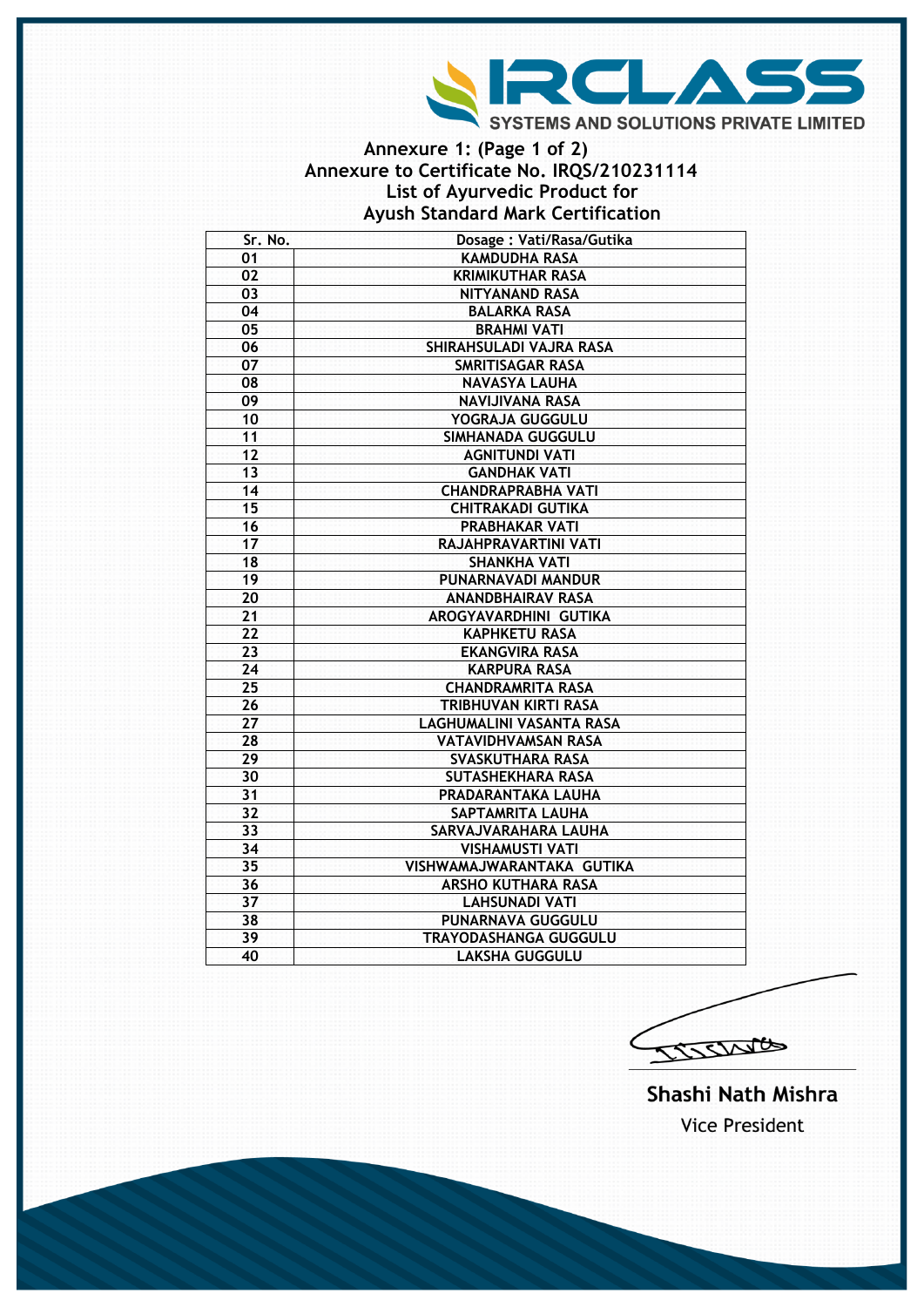

## **Annexure 1: (Page 1 of 2) Annexure to Certificate No. IRQS/210231114 List of Ayurvedic Product for Ayush Standard Mark Certification**

| Sr. No.         | Dosage: Vati/Rasa/Gutika        |  |
|-----------------|---------------------------------|--|
| 01              | <b>KAMDUDHA RASA</b>            |  |
| $\overline{02}$ | <b>KRIMIKUTHAR RASA</b>         |  |
| 03              | <b>NITYANAND RASA</b>           |  |
| 04              | <b>BALARKA RASA</b>             |  |
| 05              | <b>BRAHMI VATI</b>              |  |
| 06              | SHIRAHSULADI VAJRA RASA         |  |
| 07              | <b>SMRITISAGAR RASA</b>         |  |
| 08              | <b>NAVASYA LAUHA</b>            |  |
| 09              | <b>NAVIJIVANA RASA</b>          |  |
| 10              | YOGRAJA GUGGULU                 |  |
| $\overline{11}$ | SIMHANADA GUGGULU               |  |
| 12              | <b>AGNITUNDI VATI</b>           |  |
| 13              | <b>GANDHAK VATI</b>             |  |
| 14              | <b>CHANDRAPRABHA VATI</b>       |  |
| 15              | <b>CHITRAKADI GUTIKA</b>        |  |
| 16              | <b>PRABHAKAR VATI</b>           |  |
| 17              | RAJAHPRAVARTINI VATI            |  |
| 18              | <b>SHANKHA VATI</b>             |  |
| 19              | PUNARNAVADI MANDUR              |  |
| 20              | <b>ANANDBHAIRAV RASA</b>        |  |
| 21              | AROGYAVARDHINI GUTIKA           |  |
| 22              | <b>KAPHKETU RASA</b>            |  |
| $\overline{23}$ | <b>EKANGVIRA RASA</b>           |  |
| $\overline{24}$ | <b>KARPURA RASA</b>             |  |
| 25              | <b>CHANDRAMRITA RASA</b>        |  |
| 26              | TRIBHUVAN KIRTI RASA            |  |
| $\overline{27}$ | <b>LAGHUMALINI VASANTA RASA</b> |  |
| 28              | <b>VATAVIDHVAMSAN RASA</b>      |  |
| 29              | <b>SVASKUTHARA RASA</b>         |  |
| 30              | <b>SUTASHEKHARA RASA</b>        |  |
| 31              | PRADARANTAKA LAUHA              |  |
| 32              | SAPTAMRITA LAUHA                |  |
| 33              | SARVAJVARAHARA LAUHA            |  |
| 34              | <b>VISHAMUSTI VATI</b>          |  |
| 35              | VISHWAMAJWARANTAKA GUTIKA       |  |
| 36              | <b>ARSHO KUTHARA RASA</b>       |  |
| 37              | <b>LAHSUNADI VATI</b>           |  |
| 38              | <b>PUNARNAVA GUGGULU</b>        |  |
| 39              | <b>TRAYODASHANGA GUGGULU</b>    |  |
| 40              | <b>LAKSHA GUGGULU</b>           |  |

TISTATO

Shashi Nath Mishra **Vice President**